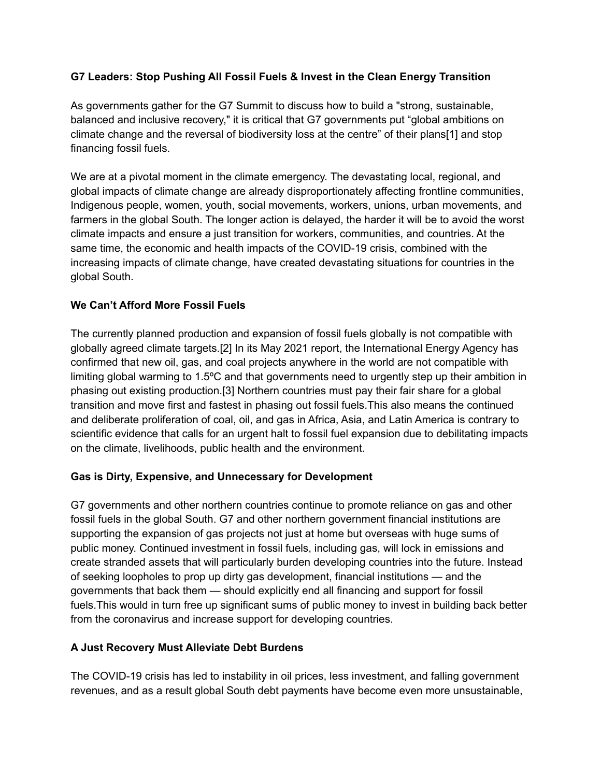# **G7 Leaders: Stop Pushing All Fossil Fuels & Invest in the Clean Energy Transition**

As governments gather for the G7 Summit to discuss how to build a "strong, sustainable, balanced and inclusive recovery," it is critical that G7 governments put "global ambitions on climate change and the reversal of biodiversity loss at the centre" of their plans[1] and stop financing fossil fuels.

We are at a pivotal moment in the climate emergency. The devastating local, regional, and global impacts of climate change are already disproportionately affecting frontline communities, Indigenous people, women, youth, social movements, workers, unions, urban movements, and farmers in the global South. The longer action is delayed, the harder it will be to avoid the worst climate impacts and ensure a just transition for workers, communities, and countries. At the same time, the economic and health impacts of the COVID-19 crisis, combined with the increasing impacts of climate change, have created devastating situations for countries in the global South.

### **We Can't Afford More Fossil Fuels**

The currently planned production and expansion of fossil fuels globally is not compatible with globally agreed climate targets.[2] In its May 2021 report, the International Energy Agency has confirmed that new oil, gas, and coal projects anywhere in the world are not compatible with limiting global warming to 1.5ºC and that governments need to urgently step up their ambition in phasing out existing production.[3] Northern countries must pay their fair share for a global transition and move first and fastest in phasing out fossil fuels.This also means the continued and deliberate proliferation of coal, oil, and gas in Africa, Asia, and Latin America is contrary to scientific evidence that calls for an urgent halt to fossil fuel expansion due to debilitating impacts on the climate, livelihoods, public health and the environment.

### **Gas is Dirty, Expensive, and Unnecessary for Development**

G7 governments and other northern countries continue to promote reliance on gas and other fossil fuels in the global South. G7 and other northern government financial institutions are supporting the expansion of gas projects not just at home but overseas with huge sums of public money. Continued investment in fossil fuels, including gas, will lock in emissions and create stranded assets that will particularly burden developing countries into the future. Instead of seeking loopholes to prop up dirty gas development, financial institutions — and the governments that back them — should explicitly end all financing and support for fossil fuels.This would in turn free up significant sums of public money to invest in building back better from the coronavirus and increase support for developing countries.

# **A Just Recovery Must Alleviate Debt Burdens**

The COVID-19 crisis has led to instability in oil prices, less investment, and falling government revenues, and as a result global South debt payments have become even more unsustainable,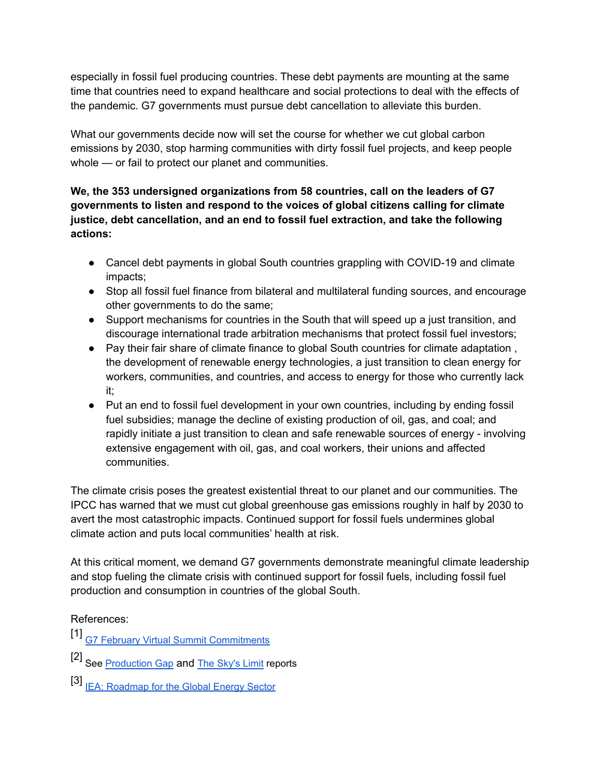especially in fossil fuel producing countries. These debt payments are mounting at the same time that countries need to expand healthcare and social protections to deal with the effects of the pandemic. G7 governments must pursue debt cancellation to alleviate this burden.

What our governments decide now will set the course for whether we cut global carbon emissions by 2030, stop harming communities with dirty fossil fuel projects, and keep people whole — or fail to protect our planet and communities.

**We, the 353 undersigned organizations from 58 countries, call on the leaders of G7 governments to listen and respond to the voices of global citizens calling for climate justice, debt cancellation, and an end to fossil fuel extraction, and take the following actions:**

- Cancel debt payments in global South countries grappling with COVID-19 and climate impacts;
- Stop all fossil fuel finance from bilateral and multilateral funding sources, and encourage other governments to do the same;
- Support mechanisms for countries in the South that will speed up a just transition, and discourage international trade arbitration mechanisms that protect fossil fuel investors;
- Pay their fair share of climate finance to global South countries for climate adaptation , the development of renewable energy technologies, a just transition to clean energy for workers, communities, and countries, and access to energy for those who currently lack it;
- Put an end to fossil fuel development in your own countries, including by ending fossil fuel subsidies; manage the decline of existing production of oil, gas, and coal; and rapidly initiate a just transition to clean and safe renewable sources of energy - involving extensive engagement with oil, gas, and coal workers, their unions and affected communities.

The climate crisis poses the greatest existential threat to our planet and our communities. The IPCC has warned that we must cut global greenhouse gas emissions roughly in half by 2030 to avert the most catastrophic impacts. Continued support for fossil fuels undermines global climate action and puts local communities' health at risk.

At this critical moment, we demand G7 governments demonstrate meaningful climate leadership and stop fueling the climate crisis with continued support for fossil fuels, including fossil fuel production and consumption in countries of the global South.

# References:

[1] G7 February Virtual Summit [Commitments](http://www.g7.utoronto.ca/evaluations/2021cornwall/kirton-february-summit.html)

- [2] See [Production](https://productiongap.org/) Gap and The [Sky's](http://priceofoil.org/2016/09/22/the-skys-limit-report/) Limit reports
- [3] **IEA: [Roadmap](https://www.iea.org/reports/net-zero-by-2050) for the Global Energy Sector**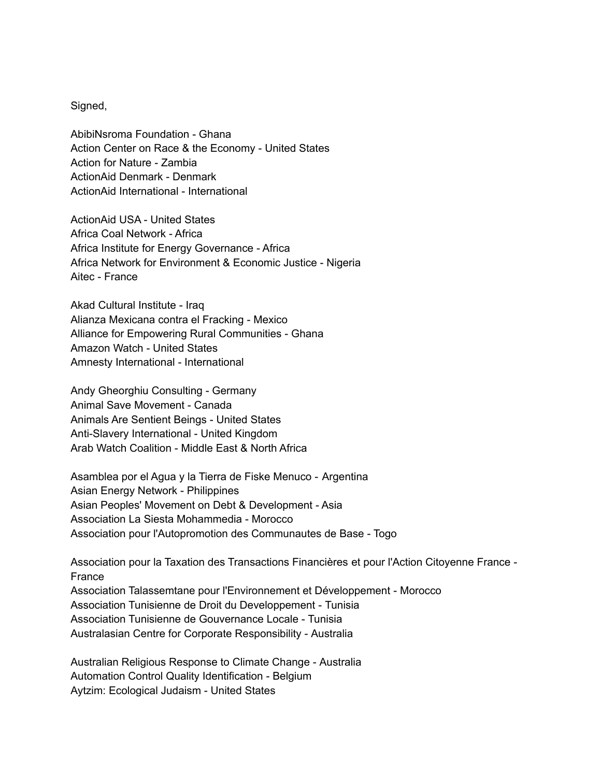Signed,

AbibiNsroma Foundation - Ghana Action Center on Race & the Economy - United States Action for Nature - Zambia ActionAid Denmark - Denmark ActionAid International - International

ActionAid USA - United States Africa Coal Network - Africa Africa Institute for Energy Governance - Africa Africa Network for Environment & Economic Justice - Nigeria Aitec - France

Akad Cultural Institute - Iraq Alianza Mexicana contra el Fracking - Mexico Alliance for Empowering Rural Communities - Ghana Amazon Watch - United States Amnesty International - International

Andy Gheorghiu Consulting - Germany Animal Save Movement - Canada Animals Are Sentient Beings - United States Anti-Slavery International - United Kingdom Arab Watch Coalition - Middle East & North Africa

Asamblea por el Agua y la Tierra de Fiske Menuco - Argentina Asian Energy Network - Philippines Asian Peoples' Movement on Debt & Development - Asia Association La Siesta Mohammedia - Morocco Association pour l'Autopromotion des Communautes de Base - Togo

Association pour la Taxation des Transactions Financières et pour l'Action Citoyenne France - France Association Talassemtane pour l'Environnement et Développement - Morocco Association Tunisienne de Droit du Developpement - Tunisia Association Tunisienne de Gouvernance Locale - Tunisia Australasian Centre for Corporate Responsibility - Australia

Australian Religious Response to Climate Change - Australia Automation Control Quality Identification - Belgium Aytzim: Ecological Judaism - United States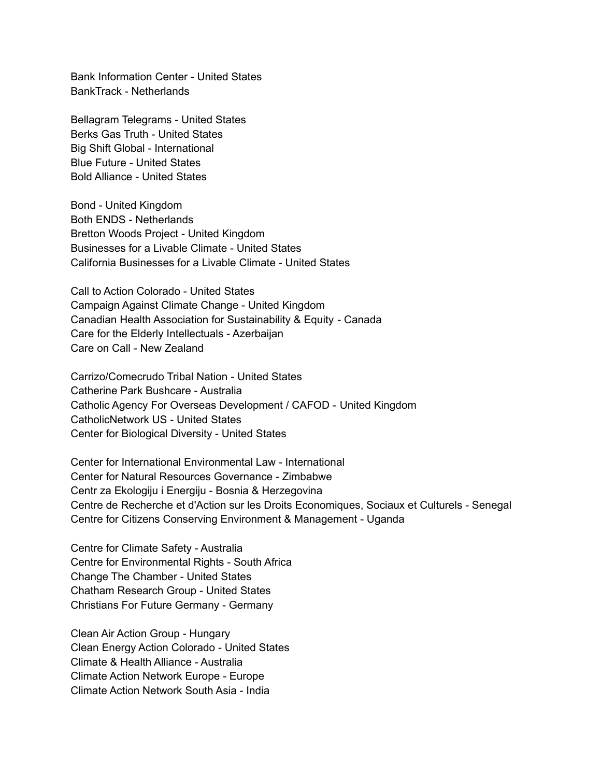Bank Information Center - United States BankTrack - Netherlands

Bellagram Telegrams - United States Berks Gas Truth - United States Big Shift Global - International Blue Future - United States Bold Alliance - United States

Bond - United Kingdom Both ENDS - Netherlands Bretton Woods Project - United Kingdom Businesses for a Livable Climate - United States California Businesses for a Livable Climate - United States

Call to Action Colorado - United States Campaign Against Climate Change - United Kingdom Canadian Health Association for Sustainability & Equity - Canada Care for the Elderly Intellectuals - Azerbaijan Care on Call - New Zealand

Carrizo/Comecrudo Tribal Nation - United States Catherine Park Bushcare - Australia Catholic Agency For Overseas Development / CAFOD - United Kingdom CatholicNetwork US - United States Center for Biological Diversity - United States

Center for International Environmental Law - International Center for Natural Resources Governance - Zimbabwe Centr za Ekologiju i Energiju - Bosnia & Herzegovina Centre de Recherche et d'Action sur les Droits Economiques, Sociaux et Culturels - Senegal Centre for Citizens Conserving Environment & Management - Uganda

Centre for Climate Safety - Australia Centre for Environmental Rights - South Africa Change The Chamber - United States Chatham Research Group - United States Christians For Future Germany - Germany

Clean Air Action Group - Hungary Clean Energy Action Colorado - United States Climate & Health Alliance - Australia Climate Action Network Europe - Europe Climate Action Network South Asia - India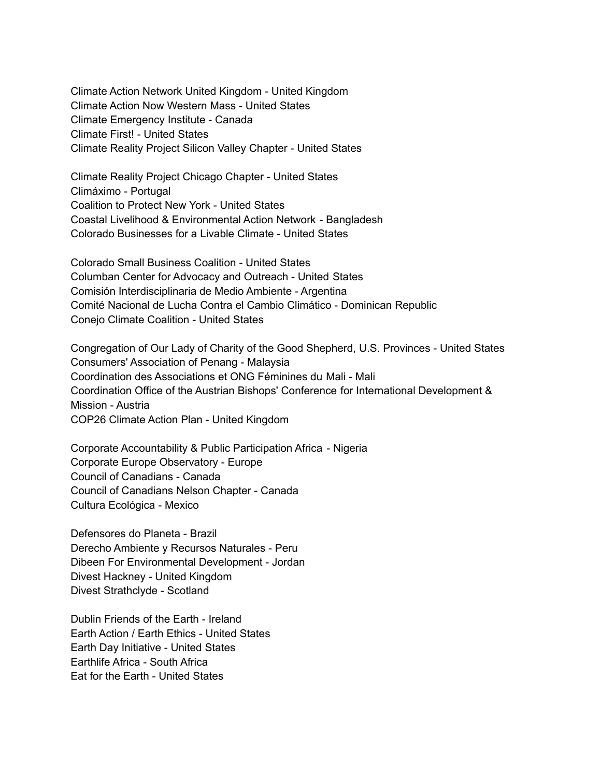Climate Action Network United Kingdom - United Kingdom Climate Action Now Western Mass - United States Climate Emergency Institute - Canada Climate First! - United States Climate Reality Project Silicon Valley Chapter - United States

Climate Reality Project Chicago Chapter - United States Climáximo - Portugal Coalition to Protect New York - United States Coastal Livelihood & Environmental Action Network - Bangladesh Colorado Businesses for a Livable Climate - United States

Colorado Small Business Coalition - United States Columban Center for Advocacy and Outreach - United States Comisión Interdisciplinaria de Medio Ambiente - Argentina Comité Nacional de Lucha Contra el Cambio Climático - Dominican Republic Conejo Climate Coalition - United States

Congregation of Our Lady of Charity of the Good Shepherd, U.S. Provinces - United States Consumers' Association of Penang - Malaysia Coordination des Associations et ONG Féminines du Mali - Mali Coordination Office of the Austrian Bishops' Conference for International Development & Mission - Austria COP26 Climate Action Plan - United Kingdom

Corporate Accountability & Public Participation Africa - Nigeria Corporate Europe Observatory - Europe Council of Canadians - Canada Council of Canadians Nelson Chapter - Canada Cultura Ecológica - Mexico

Defensores do Planeta - Brazil Derecho Ambiente y Recursos Naturales - Peru Dibeen For Environmental Development - Jordan Divest Hackney - United Kingdom Divest Strathclyde - Scotland

Dublin Friends of the Earth - Ireland Earth Action / Earth Ethics - United States Earth Day Initiative - United States Earthlife Africa - South Africa Eat for the Earth - United States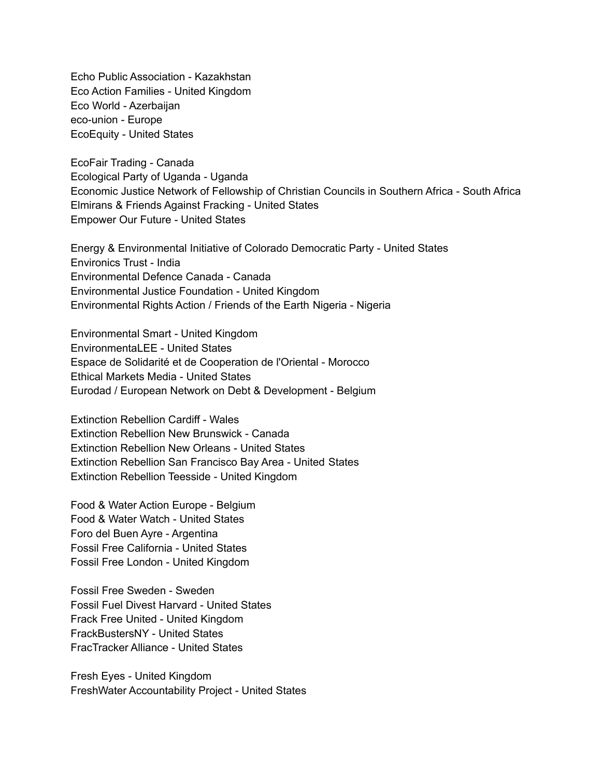Echo Public Association - Kazakhstan Eco Action Families - United Kingdom Eco World - Azerbaijan eco-union - Europe EcoEquity - United States

EcoFair Trading - Canada Ecological Party of Uganda - Uganda Economic Justice Network of Fellowship of Christian Councils in Southern Africa - South Africa Elmirans & Friends Against Fracking - United States Empower Our Future - United States

Energy & Environmental Initiative of Colorado Democratic Party - United States Environics Trust - India Environmental Defence Canada - Canada Environmental Justice Foundation - United Kingdom Environmental Rights Action / Friends of the Earth Nigeria - Nigeria

Environmental Smart - United Kingdom EnvironmentaLEE - United States Espace de Solidarité et de Cooperation de l'Oriental - Morocco Ethical Markets Media - United States Eurodad / European Network on Debt & Development - Belgium

Extinction Rebellion Cardiff - Wales Extinction Rebellion New Brunswick - Canada Extinction Rebellion New Orleans - United States Extinction Rebellion San Francisco Bay Area - United States Extinction Rebellion Teesside - United Kingdom

Food & Water Action Europe - Belgium Food & Water Watch - United States Foro del Buen Ayre - Argentina Fossil Free California - United States Fossil Free London - United Kingdom

Fossil Free Sweden - Sweden Fossil Fuel Divest Harvard - United States Frack Free United - United Kingdom FrackBustersNY - United States FracTracker Alliance - United States

Fresh Eyes - United Kingdom FreshWater Accountability Project - United States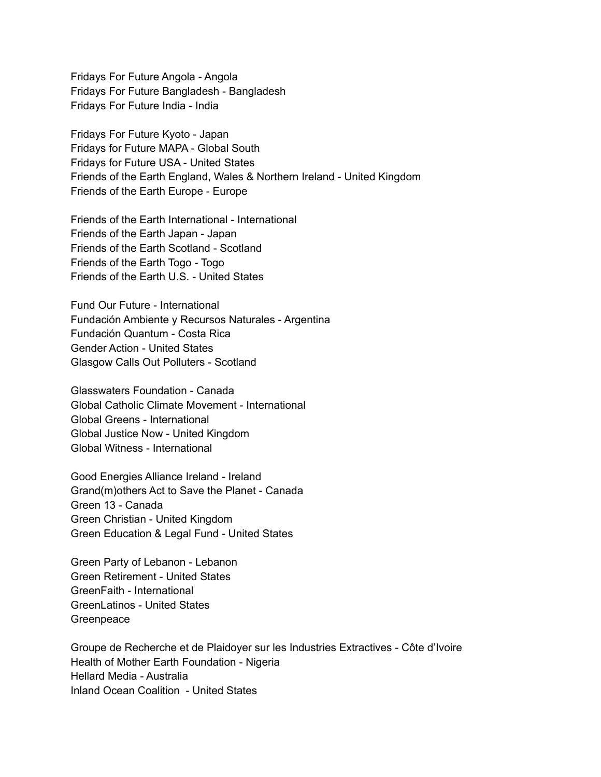Fridays For Future Angola - Angola Fridays For Future Bangladesh - Bangladesh Fridays For Future India - India

Fridays For Future Kyoto - Japan Fridays for Future MAPA - Global South Fridays for Future USA - United States Friends of the Earth England, Wales & Northern Ireland - United Kingdom Friends of the Earth Europe - Europe

Friends of the Earth International - International Friends of the Earth Japan - Japan Friends of the Earth Scotland - Scotland Friends of the Earth Togo - Togo Friends of the Earth U.S. - United States

Fund Our Future - International Fundación Ambiente y Recursos Naturales - Argentina Fundación Quantum - Costa Rica Gender Action - United States Glasgow Calls Out Polluters - Scotland

Glasswaters Foundation - Canada Global Catholic Climate Movement - International Global Greens - International Global Justice Now - United Kingdom Global Witness - International

Good Energies Alliance Ireland - Ireland Grand(m)others Act to Save the Planet - Canada Green 13 - Canada Green Christian - United Kingdom Green Education & Legal Fund - United States

Green Party of Lebanon - Lebanon Green Retirement - United States GreenFaith - International GreenLatinos - United States Greenpeace

Groupe de Recherche et de Plaidoyer sur les Industries Extractives - Côte d'Ivoire Health of Mother Earth Foundation - Nigeria Hellard Media - Australia Inland Ocean Coalition - United States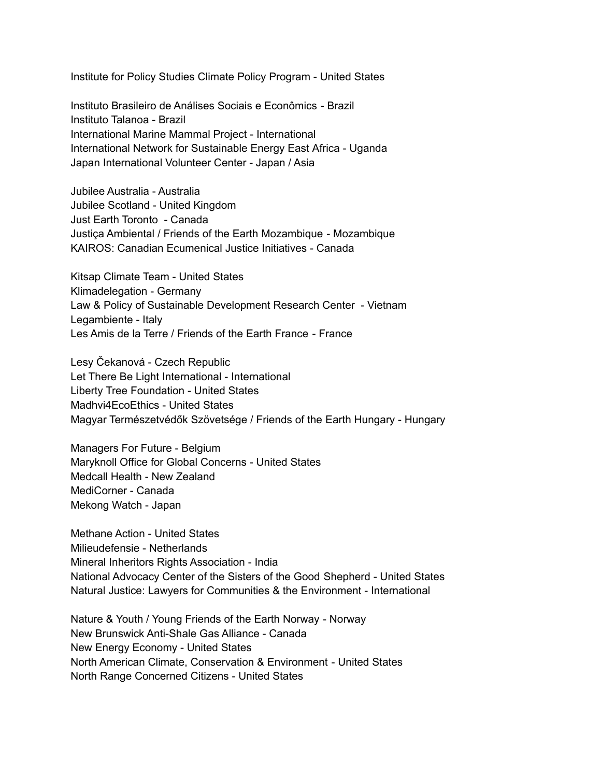Institute for Policy Studies Climate Policy Program - United States

Instituto Brasileiro de Análises Sociais e Econômics - Brazil Instituto Talanoa - Brazil International Marine Mammal Project - International International Network for Sustainable Energy East Africa - Uganda Japan International Volunteer Center - Japan / Asia

Jubilee Australia - Australia Jubilee Scotland - United Kingdom Just Earth Toronto - Canada Justiça Ambiental / Friends of the Earth Mozambique - Mozambique KAIROS: Canadian Ecumenical Justice Initiatives - Canada

Kitsap Climate Team - United States Klimadelegation - Germany Law & Policy of Sustainable Development Research Center - Vietnam Legambiente - Italy Les Amis de la Terre / Friends of the Earth France - France

Lesy Čekanová - Czech Republic Let There Be Light International - International Liberty Tree Foundation - United States Madhvi4EcoEthics - United States Magyar Természetvédők Szövetsége / Friends of the Earth Hungary - Hungary

Managers For Future - Belgium Maryknoll Office for Global Concerns - United States Medcall Health - New Zealand MediCorner - Canada Mekong Watch - Japan

Methane Action - United States Milieudefensie - Netherlands Mineral Inheritors Rights Association - India National Advocacy Center of the Sisters of the Good Shepherd - United States Natural Justice: Lawyers for Communities & the Environment - International

Nature & Youth / Young Friends of the Earth Norway - Norway New Brunswick Anti-Shale Gas Alliance - Canada New Energy Economy - United States North American Climate, Conservation & Environment - United States North Range Concerned Citizens - United States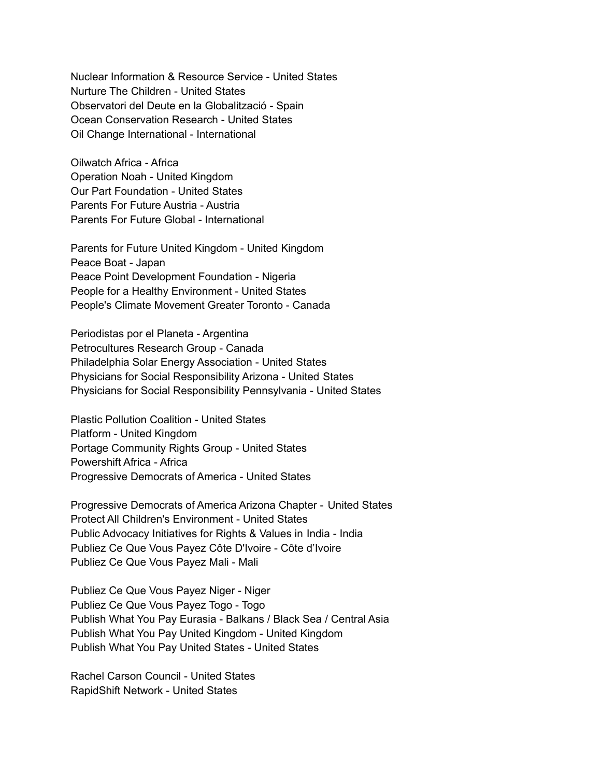Nuclear Information & Resource Service - United States Nurture The Children - United States Observatori del Deute en la Globalització - Spain Ocean Conservation Research - United States Oil Change International - International

Oilwatch Africa - Africa Operation Noah - United Kingdom Our Part Foundation - United States Parents For Future Austria - Austria Parents For Future Global - International

Parents for Future United Kingdom - United Kingdom Peace Boat - Japan Peace Point Development Foundation - Nigeria People for a Healthy Environment - United States People's Climate Movement Greater Toronto - Canada

Periodistas por el Planeta - Argentina Petrocultures Research Group - Canada Philadelphia Solar Energy Association - United States Physicians for Social Responsibility Arizona - United States Physicians for Social Responsibility Pennsylvania - United States

Plastic Pollution Coalition - United States Platform - United Kingdom Portage Community Rights Group - United States Powershift Africa - Africa Progressive Democrats of America - United States

Progressive Democrats of America Arizona Chapter - United States Protect All Children's Environment - United States Public Advocacy Initiatives for Rights & Values in India - India Publiez Ce Que Vous Payez Côte D'Ivoire - Côte d'Ivoire Publiez Ce Que Vous Payez Mali - Mali

Publiez Ce Que Vous Payez Niger - Niger Publiez Ce Que Vous Payez Togo - Togo Publish What You Pay Eurasia - Balkans / Black Sea / Central Asia Publish What You Pay United Kingdom - United Kingdom Publish What You Pay United States - United States

Rachel Carson Council - United States RapidShift Network - United States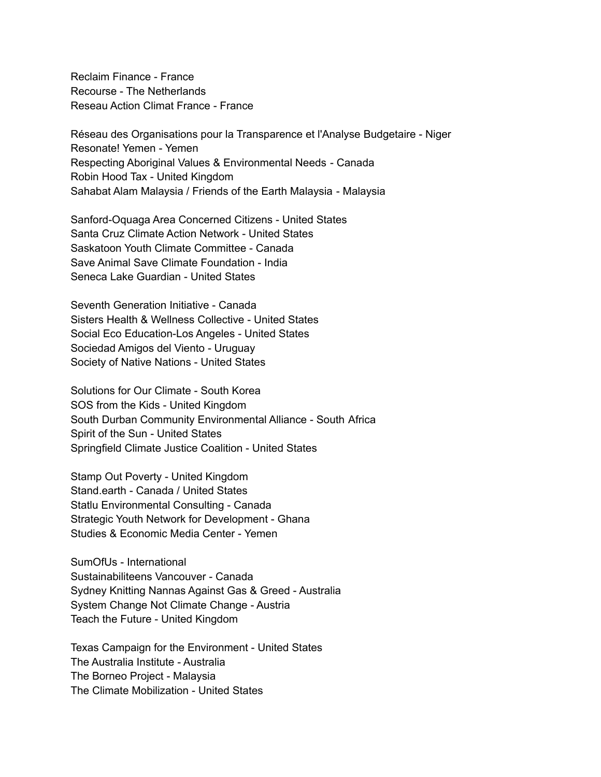Reclaim Finance - France Recourse - The Netherlands Reseau Action Climat France - France

Réseau des Organisations pour la Transparence et l'Analyse Budgetaire - Niger Resonate! Yemen - Yemen Respecting Aboriginal Values & Environmental Needs - Canada Robin Hood Tax - United Kingdom Sahabat Alam Malaysia / Friends of the Earth Malaysia - Malaysia

Sanford-Oquaga Area Concerned Citizens - United States Santa Cruz Climate Action Network - United States Saskatoon Youth Climate Committee - Canada Save Animal Save Climate Foundation - India Seneca Lake Guardian - United States

Seventh Generation Initiative - Canada Sisters Health & Wellness Collective - United States Social Eco Education-Los Angeles - United States Sociedad Amigos del Viento - Uruguay Society of Native Nations - United States

Solutions for Our Climate - South Korea SOS from the Kids - United Kingdom South Durban Community Environmental Alliance - South Africa Spirit of the Sun - United States Springfield Climate Justice Coalition - United States

Stamp Out Poverty - United Kingdom Stand.earth - Canada / United States Statlu Environmental Consulting - Canada Strategic Youth Network for Development - Ghana Studies & Economic Media Center - Yemen

SumOfUs - International Sustainabiliteens Vancouver - Canada Sydney Knitting Nannas Against Gas & Greed - Australia System Change Not Climate Change - Austria Teach the Future - United Kingdom

Texas Campaign for the Environment - United States The Australia Institute - Australia The Borneo Project - Malaysia The Climate Mobilization - United States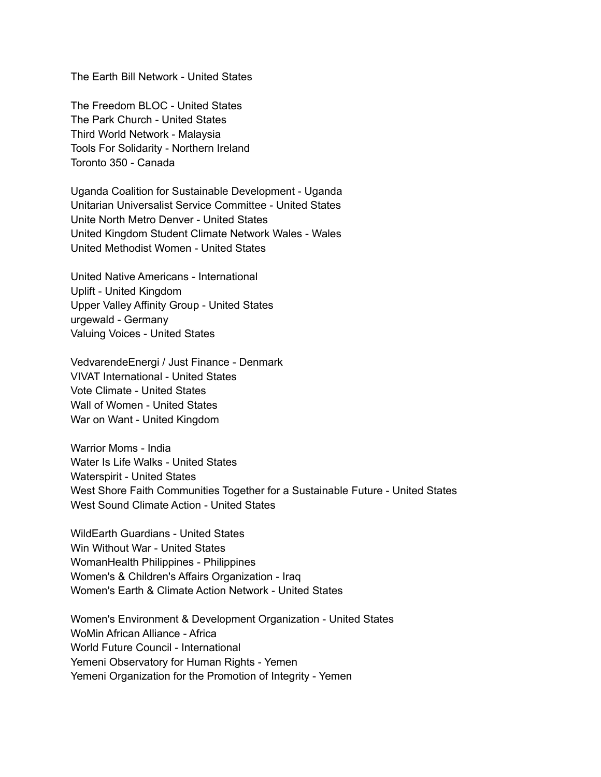The Earth Bill Network - United States

The Freedom BLOC - United States The Park Church - United States Third World Network - Malaysia Tools For Solidarity - Northern Ireland Toronto 350 - Canada

Uganda Coalition for Sustainable Development - Uganda Unitarian Universalist Service Committee - United States Unite North Metro Denver - United States United Kingdom Student Climate Network Wales - Wales United Methodist Women - United States

United Native Americans - International Uplift - United Kingdom Upper Valley Affinity Group - United States urgewald - Germany Valuing Voices - United States

VedvarendeEnergi / Just Finance - Denmark VIVAT International - United States Vote Climate - United States Wall of Women - United States War on Want - United Kingdom

Warrior Moms - India Water Is Life Walks - United States Waterspirit - United States West Shore Faith Communities Together for a Sustainable Future - United States West Sound Climate Action - United States

WildEarth Guardians - United States Win Without War - United States WomanHealth Philippines - Philippines Women's & Children's Affairs Organization - Iraq Women's Earth & Climate Action Network - United States

Women's Environment & Development Organization - United States WoMin African Alliance - Africa World Future Council - International Yemeni Observatory for Human Rights - Yemen Yemeni Organization for the Promotion of Integrity - Yemen